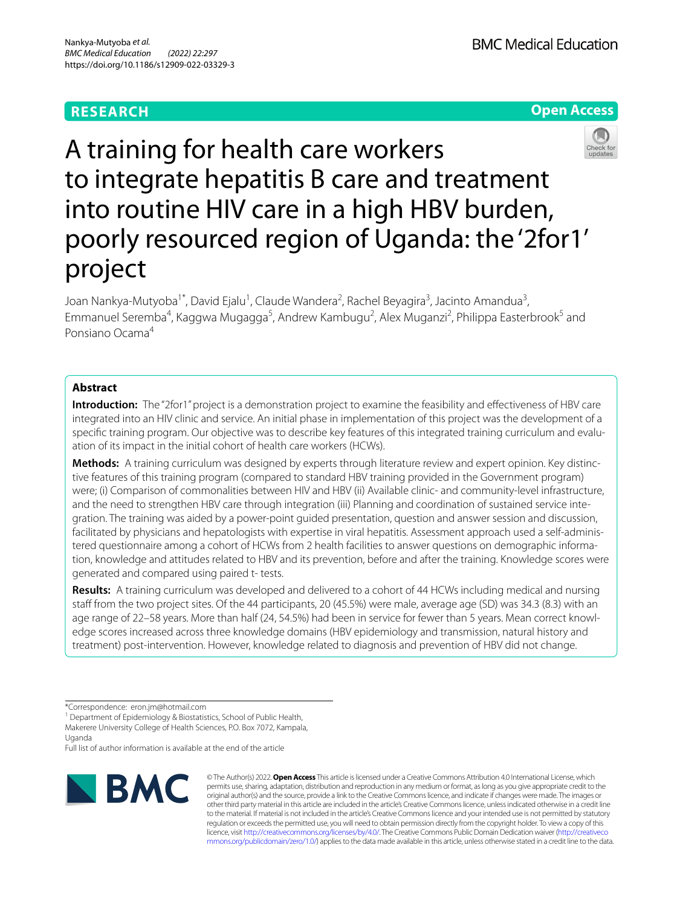# **RESEARCH**





A training for health care workers to integrate hepatitis B care and treatment into routine HIV care in a high HBV burden, poorly resourced region of Uganda: the '2for1' project

Joan Nankya-Mutyoba<sup>1\*</sup>, David Ejalu<sup>1</sup>, Claude Wandera<sup>2</sup>, Rachel Beyagira<sup>3</sup>, Jacinto Amandua<sup>3</sup>, Emmanuel Seremba<sup>4</sup>, Kaggwa Mugagga<sup>5</sup>, Andrew Kambugu<sup>2</sup>, Alex Muganzi<sup>2</sup>, Philippa Easterbrook<sup>5</sup> and Ponsiano Ocama4

# **Abstract**

**Introduction:** The "2for1" project is a demonstration project to examine the feasibility and effectiveness of HBV care integrated into an HIV clinic and service. An initial phase in implementation of this project was the development of a specific training program. Our objective was to describe key features of this integrated training curriculum and evaluation of its impact in the initial cohort of health care workers (HCWs).

**Methods:** A training curriculum was designed by experts through literature review and expert opinion. Key distinc‑ tive features of this training program (compared to standard HBV training provided in the Government program) were; (i) Comparison of commonalities between HIV and HBV (ii) Available clinic- and community-level infrastructure, and the need to strengthen HBV care through integration (iii) Planning and coordination of sustained service integration. The training was aided by a power-point guided presentation, question and answer session and discussion, facilitated by physicians and hepatologists with expertise in viral hepatitis. Assessment approach used a self-administered questionnaire among a cohort of HCWs from 2 health facilities to answer questions on demographic information, knowledge and attitudes related to HBV and its prevention, before and after the training. Knowledge scores were generated and compared using paired t- tests.

**Results:** A training curriculum was developed and delivered to a cohort of 44 HCWs including medical and nursing staff from the two project sites. Of the 44 participants, 20 (45.5%) were male, average age (SD) was 34.3 (8.3) with an age range of 22-58 years. More than half (24, 54.5%) had been in service for fewer than 5 years. Mean correct knowledge scores increased across three knowledge domains (HBV epidemiology and transmission, natural history and treatment) post-intervention. However, knowledge related to diagnosis and prevention of HBV did not change.

<sup>1</sup> Department of Epidemiology & Biostatistics, School of Public Health, Makerere University College of Health Sciences, P.O. Box 7072, Kampala, Uganda

Full list of author information is available at the end of the article



© The Author(s) 2022. **Open Access** This article is licensed under a Creative Commons Attribution 4.0 International License, which permits use, sharing, adaptation, distribution and reproduction in any medium or format, as long as you give appropriate credit to the original author(s) and the source, provide a link to the Creative Commons licence, and indicate if changes were made. The images or other third party material in this article are included in the article's Creative Commons licence, unless indicated otherwise in a credit line to the material. If material is not included in the article's Creative Commons licence and your intended use is not permitted by statutory regulation or exceeds the permitted use, you will need to obtain permission directly from the copyright holder. To view a copy of this licence, visit [http://creativecommons.org/licenses/by/4.0/.](http://creativecommons.org/licenses/by/4.0/) The Creative Commons Public Domain Dedication waiver ([http://creativeco](http://creativecommons.org/publicdomain/zero/1.0/) [mmons.org/publicdomain/zero/1.0/](http://creativecommons.org/publicdomain/zero/1.0/)) applies to the data made available in this article, unless otherwise stated in a credit line to the data.

<sup>\*</sup>Correspondence: eron.jm@hotmail.com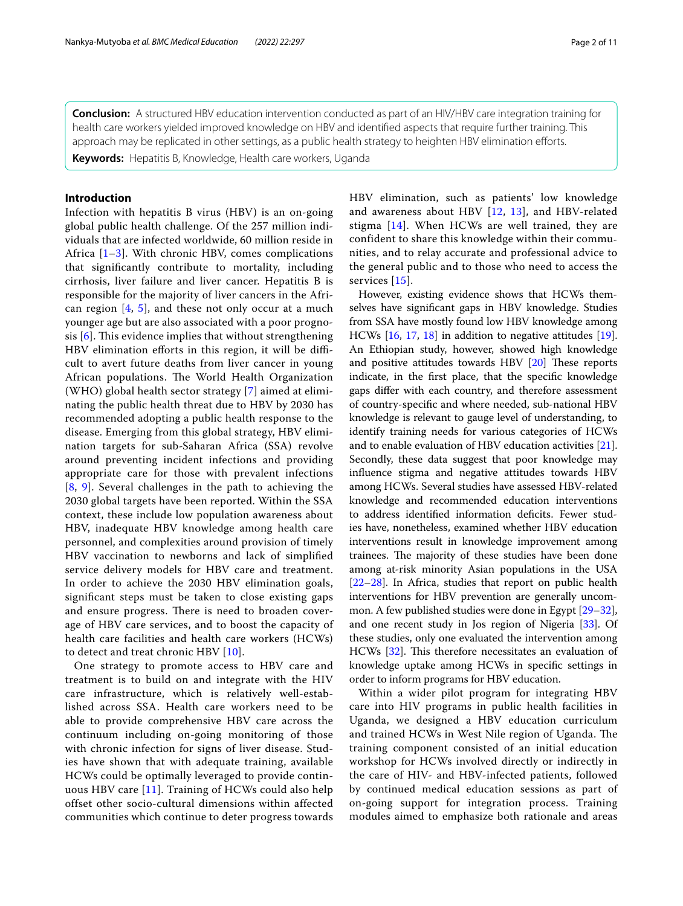**Conclusion:** A structured HBV education intervention conducted as part of an HIV/HBV care integration training for health care workers yielded improved knowledge on HBV and identifed aspects that require further training. This approach may be replicated in other settings, as a public health strategy to heighten HBV elimination efforts.

**Keywords:** Hepatitis B, Knowledge, Health care workers, Uganda

# **Introduction**

Infection with hepatitis B virus (HBV) is an on-going global public health challenge. Of the 257 million individuals that are infected worldwide, 60 million reside in Africa [[1–](#page-8-0)[3\]](#page-9-0). With chronic HBV, comes complications that signifcantly contribute to mortality, including cirrhosis, liver failure and liver cancer. Hepatitis B is responsible for the majority of liver cancers in the African region  $[4, 5]$  $[4, 5]$  $[4, 5]$  $[4, 5]$ , and these not only occur at a much younger age but are also associated with a poor prognosis  $[6]$  $[6]$ . This evidence implies that without strengthening HBV elimination efforts in this region, it will be difficult to avert future deaths from liver cancer in young African populations. The World Health Organization (WHO) global health sector strategy [\[7](#page-9-4)] aimed at eliminating the public health threat due to HBV by 2030 has recommended adopting a public health response to the disease. Emerging from this global strategy, HBV elimination targets for sub-Saharan Africa (SSA) revolve around preventing incident infections and providing appropriate care for those with prevalent infections [[8](#page-9-5), [9](#page-9-6)]. Several challenges in the path to achieving the 2030 global targets have been reported. Within the SSA context, these include low population awareness about HBV, inadequate HBV knowledge among health care personnel, and complexities around provision of timely HBV vaccination to newborns and lack of simplifed service delivery models for HBV care and treatment. In order to achieve the 2030 HBV elimination goals, signifcant steps must be taken to close existing gaps and ensure progress. There is need to broaden coverage of HBV care services, and to boost the capacity of health care facilities and health care workers (HCWs) to detect and treat chronic HBV [[10\]](#page-9-7).

One strategy to promote access to HBV care and treatment is to build on and integrate with the HIV care infrastructure, which is relatively well-established across SSA. Health care workers need to be able to provide comprehensive HBV care across the continuum including on-going monitoring of those with chronic infection for signs of liver disease. Studies have shown that with adequate training, available HCWs could be optimally leveraged to provide continuous HBV care [[11](#page-9-8)]. Training of HCWs could also help offset other socio-cultural dimensions within affected communities which continue to deter progress towards HBV elimination, such as patients' low knowledge and awareness about HBV [[12,](#page-9-9) [13](#page-9-10)], and HBV-related stigma [[14](#page-9-11)]. When HCWs are well trained, they are confident to share this knowledge within their communities, and to relay accurate and professional advice to the general public and to those who need to access the services [\[15\]](#page-9-12).

However, existing evidence shows that HCWs themselves have signifcant gaps in HBV knowledge. Studies from SSA have mostly found low HBV knowledge among HCWs [[16](#page-9-13), [17,](#page-9-14) [18\]](#page-9-15) in addition to negative attitudes [\[19](#page-9-16)]. An Ethiopian study, however, showed high knowledge and positive attitudes towards HBV  $[20]$  $[20]$  These reports indicate, in the frst place, that the specifc knowledge gaps difer with each country, and therefore assessment of country-specifc and where needed, sub-national HBV knowledge is relevant to gauge level of understanding, to identify training needs for various categories of HCWs and to enable evaluation of HBV education activities [\[21](#page-9-18)]. Secondly, these data suggest that poor knowledge may infuence stigma and negative attitudes towards HBV among HCWs. Several studies have assessed HBV-related knowledge and recommended education interventions to address identifed information defcits. Fewer studies have, nonetheless, examined whether HBV education interventions result in knowledge improvement among trainees. The majority of these studies have been done among at-risk minority Asian populations in the USA [[22](#page-9-19)[–28](#page-9-20)]. In Africa, studies that report on public health interventions for HBV prevention are generally uncommon. A few published studies were done in Egypt [[29](#page-9-21)[–32](#page-9-22)], and one recent study in Jos region of Nigeria [[33](#page-9-23)]. Of these studies, only one evaluated the intervention among HCWs [\[32\]](#page-9-22). This therefore necessitates an evaluation of knowledge uptake among HCWs in specifc settings in order to inform programs for HBV education.

Within a wider pilot program for integrating HBV care into HIV programs in public health facilities in Uganda, we designed a HBV education curriculum and trained HCWs in West Nile region of Uganda. The training component consisted of an initial education workshop for HCWs involved directly or indirectly in the care of HIV- and HBV-infected patients, followed by continued medical education sessions as part of on-going support for integration process. Training modules aimed to emphasize both rationale and areas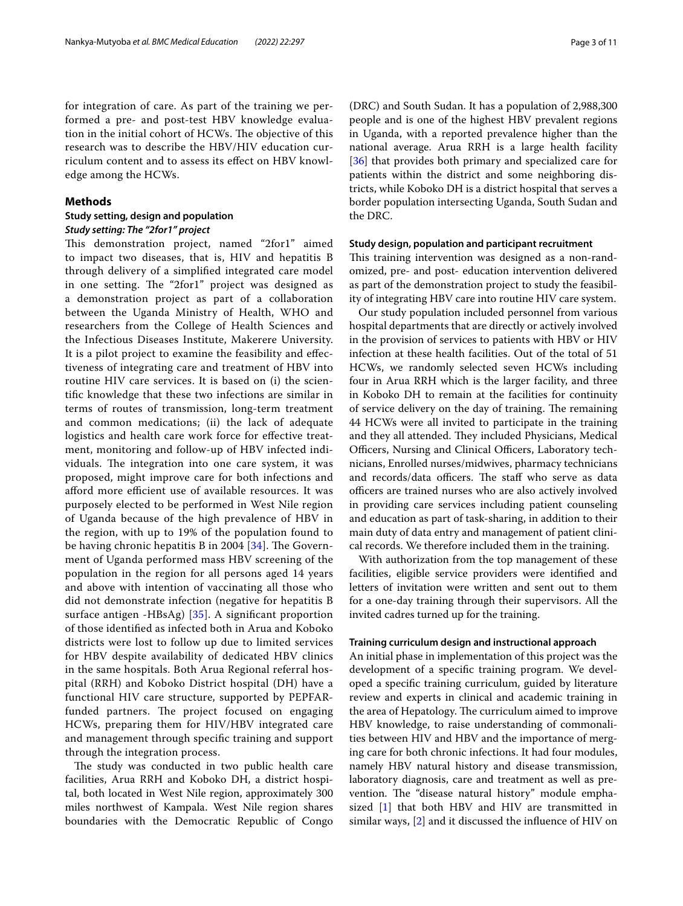for integration of care. As part of the training we performed a pre- and post-test HBV knowledge evaluation in the initial cohort of HCWs. The objective of this research was to describe the HBV/HIV education curriculum content and to assess its efect on HBV knowledge among the HCWs.

# **Methods**

# **Study setting, design and population** *Study setting: The "2for1" project*

This demonstration project, named "2for1" aimed to impact two diseases, that is, HIV and hepatitis B through delivery of a simplifed integrated care model in one setting. The "2for1" project was designed as a demonstration project as part of a collaboration between the Uganda Ministry of Health, WHO and researchers from the College of Health Sciences and the Infectious Diseases Institute, Makerere University. It is a pilot project to examine the feasibility and efectiveness of integrating care and treatment of HBV into routine HIV care services. It is based on (i) the scientifc knowledge that these two infections are similar in terms of routes of transmission, long-term treatment and common medications; (ii) the lack of adequate logistics and health care work force for effective treatment, monitoring and follow-up of HBV infected individuals. The integration into one care system, it was proposed, might improve care for both infections and afford more efficient use of available resources. It was purposely elected to be performed in West Nile region of Uganda because of the high prevalence of HBV in the region, with up to 19% of the population found to be having chronic hepatitis B in 2004  $[34]$  $[34]$ . The Government of Uganda performed mass HBV screening of the population in the region for all persons aged 14 years and above with intention of vaccinating all those who did not demonstrate infection (negative for hepatitis B surface antigen -HBsAg) [[35](#page-9-25)]. A signifcant proportion of those identifed as infected both in Arua and Koboko districts were lost to follow up due to limited services for HBV despite availability of dedicated HBV clinics in the same hospitals. Both Arua Regional referral hospital (RRH) and Koboko District hospital (DH) have a functional HIV care structure, supported by PEPFARfunded partners. The project focused on engaging HCWs, preparing them for HIV/HBV integrated care and management through specifc training and support through the integration process.

The study was conducted in two public health care facilities, Arua RRH and Koboko DH, a district hospital, both located in West Nile region, approximately 300 miles northwest of Kampala. West Nile region shares boundaries with the Democratic Republic of Congo (DRC) and South Sudan. It has a population of 2,988,300 people and is one of the highest HBV prevalent regions in Uganda, with a reported prevalence higher than the national average. Arua RRH is a large health facility [[36\]](#page-9-26) that provides both primary and specialized care for patients within the district and some neighboring districts, while Koboko DH is a district hospital that serves a border population intersecting Uganda, South Sudan and the DRC.

### **Study design, population and participant recruitment**

This training intervention was designed as a non-randomized, pre- and post- education intervention delivered as part of the demonstration project to study the feasibility of integrating HBV care into routine HIV care system.

Our study population included personnel from various hospital departments that are directly or actively involved in the provision of services to patients with HBV or HIV infection at these health facilities. Out of the total of 51 HCWs, we randomly selected seven HCWs including four in Arua RRH which is the larger facility, and three in Koboko DH to remain at the facilities for continuity of service delivery on the day of training. The remaining 44 HCWs were all invited to participate in the training and they all attended. They included Physicians, Medical Officers, Nursing and Clinical Officers, Laboratory technicians, Enrolled nurses/midwives, pharmacy technicians and records/data officers. The staff who serve as data officers are trained nurses who are also actively involved in providing care services including patient counseling and education as part of task-sharing, in addition to their main duty of data entry and management of patient clinical records. We therefore included them in the training.

With authorization from the top management of these facilities, eligible service providers were identifed and letters of invitation were written and sent out to them for a one-day training through their supervisors. All the invited cadres turned up for the training.

### **Training curriculum design and instructional approach**

An initial phase in implementation of this project was the development of a specifc training program. We developed a specifc training curriculum, guided by literature review and experts in clinical and academic training in the area of Hepatology. The curriculum aimed to improve HBV knowledge, to raise understanding of commonalities between HIV and HBV and the importance of merging care for both chronic infections. It had four modules, namely HBV natural history and disease transmission, laboratory diagnosis, care and treatment as well as prevention. The "disease natural history" module emphasized [[1\]](#page-8-0) that both HBV and HIV are transmitted in similar ways, [\[2](#page-8-1)] and it discussed the infuence of HIV on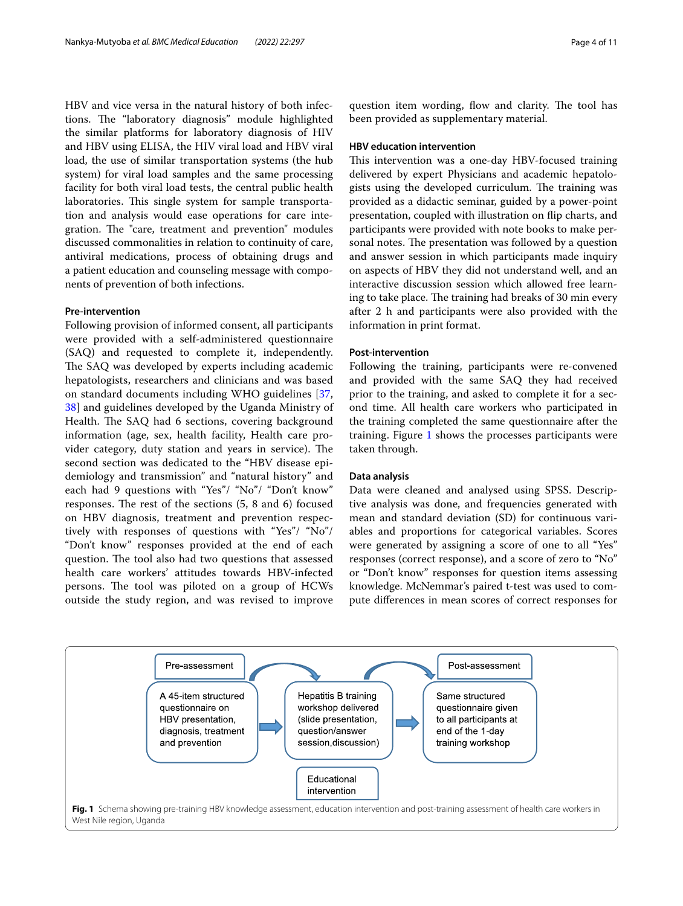HBV and vice versa in the natural history of both infections. The "laboratory diagnosis" module highlighted the similar platforms for laboratory diagnosis of HIV and HBV using ELISA, the HIV viral load and HBV viral load, the use of similar transportation systems (the hub system) for viral load samples and the same processing facility for both viral load tests, the central public health laboratories. This single system for sample transportation and analysis would ease operations for care integration. The "care, treatment and prevention" modules discussed commonalities in relation to continuity of care, antiviral medications, process of obtaining drugs and a patient education and counseling message with components of prevention of both infections.

### **Pre‑intervention**

Following provision of informed consent, all participants were provided with a self-administered questionnaire (SAQ) and requested to complete it, independently. The SAQ was developed by experts including academic hepatologists, researchers and clinicians and was based on standard documents including WHO guidelines [\[37](#page-9-27), [38\]](#page-9-28) and guidelines developed by the Uganda Ministry of Health. The SAQ had 6 sections, covering background information (age, sex, health facility, Health care provider category, duty station and years in service). The second section was dedicated to the "HBV disease epidemiology and transmission" and "natural history" and each had 9 questions with "Yes"/ "No"/ "Don't know" responses. The rest of the sections  $(5, 8 \text{ and } 6)$  focused on HBV diagnosis, treatment and prevention respectively with responses of questions with "Yes"/ "No"/ "Don't know" responses provided at the end of each question. The tool also had two questions that assessed health care workers' attitudes towards HBV-infected persons. The tool was piloted on a group of HCWs outside the study region, and was revised to improve

question item wording, flow and clarity. The tool has been provided as supplementary material.

### **HBV education intervention**

This intervention was a one-day HBV-focused training delivered by expert Physicians and academic hepatologists using the developed curriculum. The training was provided as a didactic seminar, guided by a power-point presentation, coupled with illustration on fip charts, and participants were provided with note books to make personal notes. The presentation was followed by a question and answer session in which participants made inquiry on aspects of HBV they did not understand well, and an interactive discussion session which allowed free learning to take place. The training had breaks of 30 min every after 2 h and participants were also provided with the information in print format.

## **Post‑intervention**

Following the training, participants were re-convened and provided with the same SAQ they had received prior to the training, and asked to complete it for a second time. All health care workers who participated in the training completed the same questionnaire after the training. Figure [1](#page-3-0) shows the processes participants were taken through.

### **Data analysis**

Data were cleaned and analysed using SPSS. Descriptive analysis was done, and frequencies generated with mean and standard deviation (SD) for continuous variables and proportions for categorical variables. Scores were generated by assigning a score of one to all "Yes" responses (correct response), and a score of zero to "No" or "Don't know" responses for question items assessing knowledge. McNemmar's paired t-test was used to compute diferences in mean scores of correct responses for

<span id="page-3-0"></span>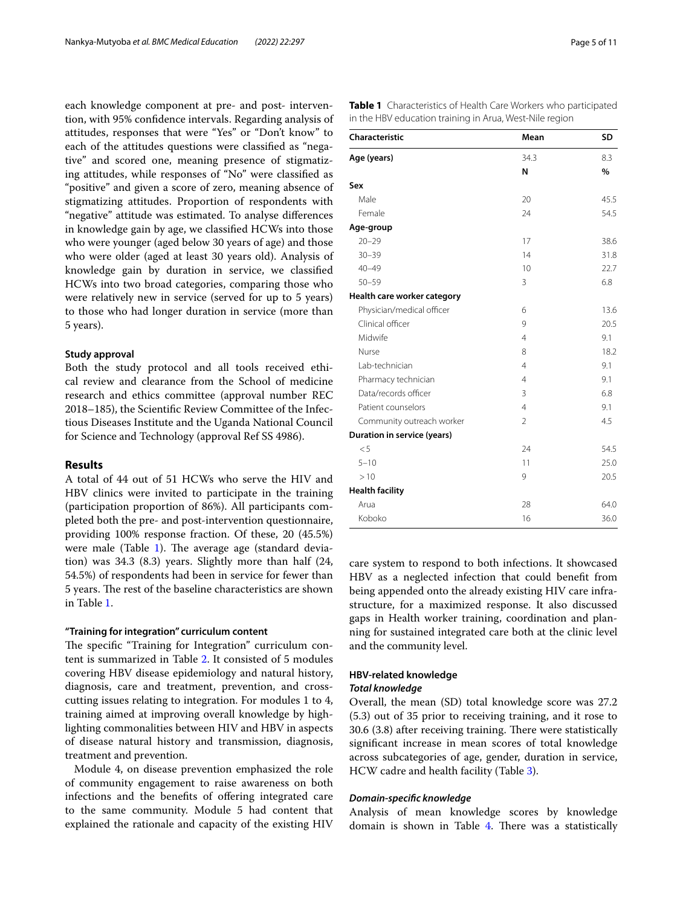each knowledge component at pre- and post- intervention, with 95% confdence intervals. Regarding analysis of attitudes, responses that were "Yes" or "Don't know" to each of the attitudes questions were classifed as "negative" and scored one, meaning presence of stigmatizing attitudes, while responses of "No" were classifed as "positive" and given a score of zero, meaning absence of stigmatizing attitudes. Proportion of respondents with "negative" attitude was estimated. To analyse diferences in knowledge gain by age, we classifed HCWs into those who were younger (aged below 30 years of age) and those who were older (aged at least 30 years old). Analysis of knowledge gain by duration in service, we classifed HCWs into two broad categories, comparing those who were relatively new in service (served for up to 5 years) to those who had longer duration in service (more than 5 years).

### **Study approval**

Both the study protocol and all tools received ethical review and clearance from the School of medicine research and ethics committee (approval number REC 2018–185), the Scientifc Review Committee of the Infectious Diseases Institute and the Uganda National Council for Science and Technology (approval Ref SS 4986).

# **Results**

A total of 44 out of 51 HCWs who serve the HIV and HBV clinics were invited to participate in the training (participation proportion of 86%). All participants completed both the pre- and post-intervention questionnaire, providing 100% response fraction. Of these, 20 (45.5%) were male (Table [1](#page-4-0)). The average age (standard deviation) was 34.3 (8.3) years. Slightly more than half (24, 54.5%) of respondents had been in service for fewer than 5 years. The rest of the baseline characteristics are shown in Table [1](#page-4-0).

# **"Training for integration" curriculum content**

The specific "Training for Integration" curriculum content is summarized in Table [2.](#page-5-0) It consisted of 5 modules covering HBV disease epidemiology and natural history, diagnosis, care and treatment, prevention, and crosscutting issues relating to integration. For modules 1 to 4, training aimed at improving overall knowledge by highlighting commonalities between HIV and HBV in aspects of disease natural history and transmission, diagnosis, treatment and prevention.

Module 4, on disease prevention emphasized the role of community engagement to raise awareness on both infections and the benefits of offering integrated care to the same community. Module 5 had content that explained the rationale and capacity of the existing HIV <span id="page-4-0"></span>**Table 1** Characteristics of Health Care Workers who participated in the HBV education training in Arua, West-Nile region

| Mean           | <b>SD</b> |
|----------------|-----------|
| 34.3           | 8.3       |
| N              | $\%$      |
|                |           |
| 20             | 45.5      |
| 24             | 54.5      |
|                |           |
| 17             | 38.6      |
| 14             | 31.8      |
| 10             | 22.7      |
| 3              | 6.8       |
|                |           |
| 6              | 13.6      |
| 9              | 20.5      |
| $\overline{4}$ | 9.1       |
| 8              | 18.2      |
| $\overline{4}$ | 9.1       |
| $\overline{4}$ | 9.1       |
| 3              | 6.8       |
| $\overline{4}$ | 9.1       |
| $\overline{2}$ | 4.5       |
|                |           |
| 24             | 54.5      |
| 11             | 25.0      |
| 9              | 20.5      |
|                |           |
| 28             | 64.0      |
| 16             | 36.0      |
|                |           |

care system to respond to both infections. It showcased HBV as a neglected infection that could beneft from being appended onto the already existing HIV care infrastructure, for a maximized response. It also discussed gaps in Health worker training, coordination and planning for sustained integrated care both at the clinic level and the community level.

# **HBV‑related knowledge**

# *Total knowledge*

Overall, the mean (SD) total knowledge score was 27.2 (5.3) out of 35 prior to receiving training, and it rose to  $30.6$   $(3.8)$  after receiving training. There were statistically signifcant increase in mean scores of total knowledge across subcategories of age, gender, duration in service, HCW cadre and health facility (Table [3](#page-5-1)).

#### *Domain‑specifc knowledge*

Analysis of mean knowledge scores by knowledge domain is shown in Table  $4$ . There was a statistically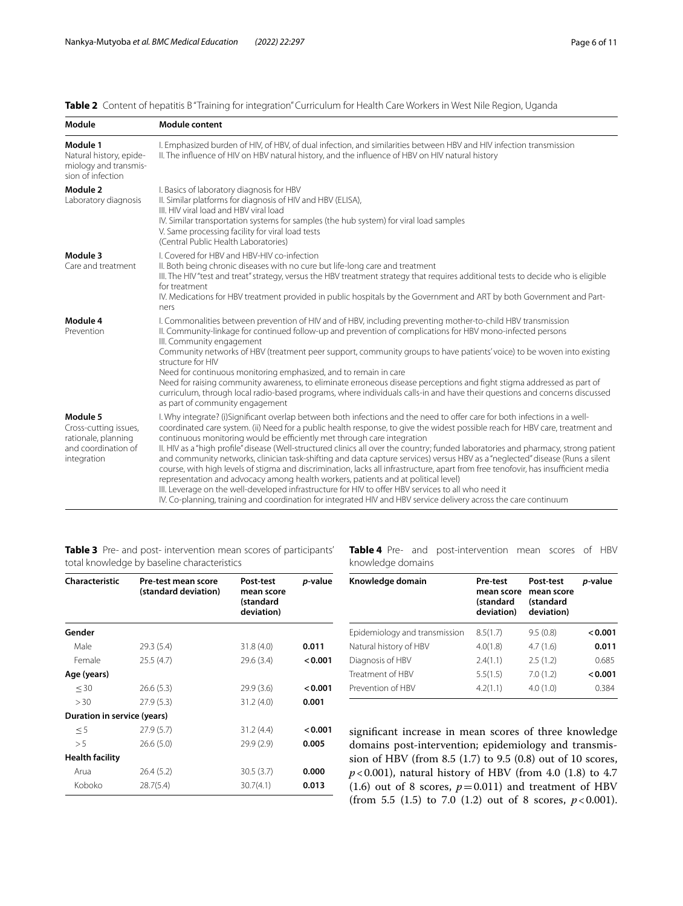<span id="page-5-0"></span>

|  |  | Table 2 Content of hepatitis B"Training for integration" Curriculum for Health Care Workers in West Nile Region, Uganda |  |  |  |
|--|--|-------------------------------------------------------------------------------------------------------------------------|--|--|--|
|--|--|-------------------------------------------------------------------------------------------------------------------------|--|--|--|

| Module                                                                                         | Module content                                                                                                                                                                                                                                                                                                                                                                                                                                                                                                                                                                                                                                                                                                                                                                                                                                                                                                                                                                                                                                                         |
|------------------------------------------------------------------------------------------------|------------------------------------------------------------------------------------------------------------------------------------------------------------------------------------------------------------------------------------------------------------------------------------------------------------------------------------------------------------------------------------------------------------------------------------------------------------------------------------------------------------------------------------------------------------------------------------------------------------------------------------------------------------------------------------------------------------------------------------------------------------------------------------------------------------------------------------------------------------------------------------------------------------------------------------------------------------------------------------------------------------------------------------------------------------------------|
| Module 1<br>Natural history, epide-<br>miology and transmis-<br>sion of infection              | I. Emphasized burden of HIV, of HBV, of dual infection, and similarities between HBV and HIV infection transmission<br>II. The influence of HIV on HBV natural history, and the influence of HBV on HIV natural history                                                                                                                                                                                                                                                                                                                                                                                                                                                                                                                                                                                                                                                                                                                                                                                                                                                |
| Module 2<br>Laboratory diagnosis                                                               | I. Basics of laboratory diagnosis for HBV<br>II. Similar platforms for diagnosis of HIV and HBV (ELISA),<br>III. HIV viral load and HBV viral load<br>IV. Similar transportation systems for samples (the hub system) for viral load samples<br>V. Same processing facility for viral load tests<br>(Central Public Health Laboratories)                                                                                                                                                                                                                                                                                                                                                                                                                                                                                                                                                                                                                                                                                                                               |
| Module 3<br>Care and treatment                                                                 | I. Covered for HBV and HBV-HIV co-infection<br>II. Both being chronic diseases with no cure but life-long care and treatment<br>III. The HIV "test and treat" strategy, versus the HBV treatment strategy that requires additional tests to decide who is eligible<br>for treatment<br>IV. Medications for HBV treatment provided in public hospitals by the Government and ART by both Government and Part-<br>ners                                                                                                                                                                                                                                                                                                                                                                                                                                                                                                                                                                                                                                                   |
| Module 4<br>Prevention                                                                         | I. Commonalities between prevention of HIV and of HBV, including preventing mother-to-child HBV transmission<br>II. Community-linkage for continued follow-up and prevention of complications for HBV mono-infected persons<br>III. Community engagement<br>Community networks of HBV (treatment peer support, community groups to have patients' voice) to be woven into existing<br>structure for HIV<br>Need for continuous monitoring emphasized, and to remain in care<br>Need for raising community awareness, to eliminate erroneous disease perceptions and fight stigma addressed as part of<br>curriculum, through local radio-based programs, where individuals calls-in and have their questions and concerns discussed<br>as part of community engagement                                                                                                                                                                                                                                                                                                 |
| Module 5<br>Cross-cutting issues,<br>rationale, planning<br>and coordination of<br>integration | I. Why integrate? (i)Significant overlap between both infections and the need to offer care for both infections in a well-<br>coordinated care system. (ii) Need for a public health response, to give the widest possible reach for HBV care, treatment and<br>continuous monitoring would be efficiently met through care integration<br>II. HIV as a "high profile" disease (Well-structured clinics all over the country; funded laboratories and pharmacy, strong patient<br>and community networks, clinician task-shifting and data capture services) versus HBV as a "neglected" disease (Runs a silent<br>course, with high levels of stigma and discrimination, lacks all infrastructure, apart from free tenofovir, has insufficient media<br>representation and advocacy among health workers, patients and at political level)<br>III. Leverage on the well-developed infrastructure for HIV to offer HBV services to all who need it<br>IV. Co-planning, training and coordination for integrated HIV and HBV service delivery across the care continuum |

<span id="page-5-1"></span>**Table 3** Pre- and post- intervention mean scores of participants' total knowledge by baseline characteristics

<span id="page-5-2"></span>**Table 4** Pre- and post-intervention mean scores of HBV knowledge domains

| Characteristic              | Pre-test mean score<br>(standard deviation) | Post-test<br>mean score<br>(standard<br>deviation) | p-value |
|-----------------------------|---------------------------------------------|----------------------------------------------------|---------|
| Gender                      |                                             |                                                    |         |
| Male                        | 29.3 (5.4)                                  | 31.8(4.0)                                          | 0.011   |
| Female                      | 25.5(4.7)                                   | 29.6 (3.4)                                         | < 0.001 |
| Age (years)                 |                                             |                                                    |         |
| $<$ 30                      | 26.6(5.3)                                   | 29.9(3.6)                                          | 0.001   |
| > 30                        | 27.9(5.3)                                   | 31.2(4.0)                                          | 0.001   |
| Duration in service (years) |                                             |                                                    |         |
| $\leq$ 5                    | 27.9(5.7)                                   | 31.2(4.4)                                          | 0.001   |
| > 5                         | 26.6(5.0)                                   | 29.9(2.9)                                          | 0.005   |
| <b>Health facility</b>      |                                             |                                                    |         |
| Arua                        | 26.4(5.2)                                   | 30.5(3.7)                                          | 0.000   |
| Koboko                      | 28.7(5.4)                                   | 30.7(4.1)                                          | 0.013   |

| Knowledge domain              | Pre-test<br>mean score<br>(standard<br>deviation) | Post-test<br>mean score<br>(standard<br>deviation) | p-value |
|-------------------------------|---------------------------------------------------|----------------------------------------------------|---------|
| Epidemiology and transmission | 8.5(1.7)                                          | 9.5(0.8)                                           | < 0.001 |
| Natural history of HBV        | 4.0(1.8)                                          | 4.7(1.6)                                           | 0.011   |
| Diagnosis of HBV              | 2.4(1.1)                                          | 2.5(1.2)                                           | 0.685   |
| Treatment of HBV              | 5.5(1.5)                                          | 7.0(1.2)                                           | < 0.001 |
| Prevention of HBV             | 4.2(1.1)                                          | 4.0(1.0)                                           | 0.384   |

signifcant increase in mean scores of three knowledge domains post-intervention; epidemiology and transmission of HBV (from 8.5 (1.7) to 9.5 (0.8) out of 10 scores, *p*<0.001), natural history of HBV (from 4.0 (1.8) to 4.7 (1.6) out of 8 scores,  $p=0.011$ ) and treatment of HBV (from 5.5  $(1.5)$  to 7.0  $(1.2)$  out of 8 scores,  $p < 0.001$ ).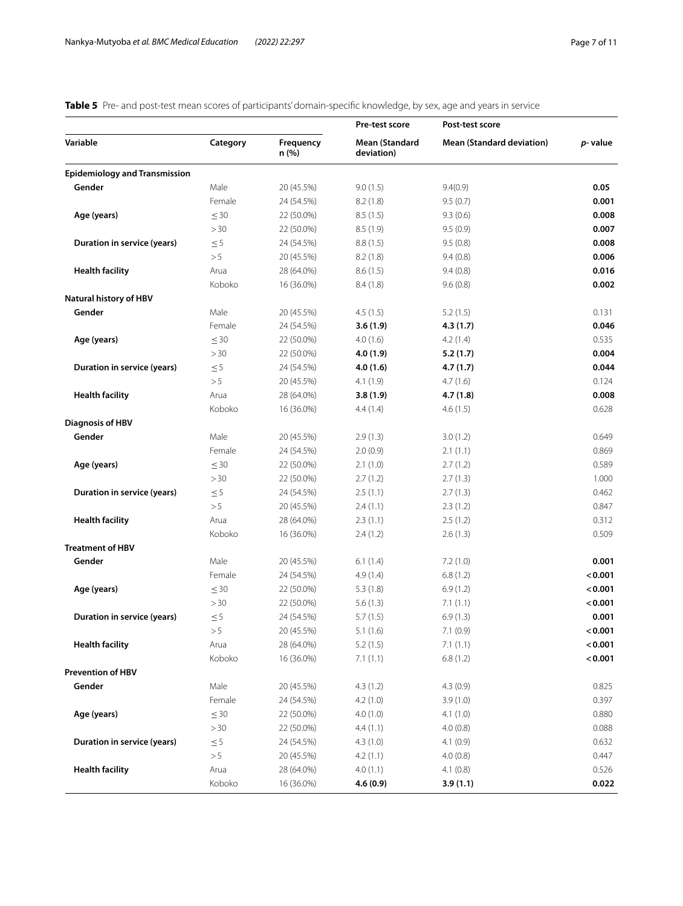<span id="page-6-0"></span>

| Table 5 Pre- and post-test mean scores of participants' domain-specific knowledge, by sex, age and years in service |
|---------------------------------------------------------------------------------------------------------------------|
|---------------------------------------------------------------------------------------------------------------------|

| Variable<br>Category<br><b>Frequency</b><br>Mean (Standard<br><b>Mean (Standard deviation)</b><br>n (%)<br>deviation)<br><b>Epidemiology and Transmission</b><br>Gender<br>Male<br>20 (45.5%)<br>9.0(1.5)<br>9.4(0.9)<br>Female<br>24 (54.5%)<br>8.2(1.8)<br>9.5(0.7)<br>Age (years)<br>$\leq 30$<br>22 (50.0%)<br>8.5(1.5)<br>9.3(0.6)<br>>30<br>8.5(1.9)<br>9.5(0.9)<br>22 (50.0%)<br>$\leq 5$<br>Duration in service (years)<br>24 (54.5%)<br>8.8(1.5)<br>9.5(0.8)<br>> 5<br>20 (45.5%)<br>8.2(1.8)<br>9.4(0.8)<br><b>Health facility</b><br>Arua<br>28 (64.0%)<br>8.6(1.5)<br>9.4(0.8)<br>Koboko<br>16 (36.0%)<br>8.4(1.8)<br>9.6(0.8) | p-value<br>0.05<br>0.001<br>0.008<br>0.007<br>0.008<br>0.006<br>0.016<br>0.002 |
|--------------------------------------------------------------------------------------------------------------------------------------------------------------------------------------------------------------------------------------------------------------------------------------------------------------------------------------------------------------------------------------------------------------------------------------------------------------------------------------------------------------------------------------------------------------------------------------------------------------------------------------------|--------------------------------------------------------------------------------|
|                                                                                                                                                                                                                                                                                                                                                                                                                                                                                                                                                                                                                                            |                                                                                |
|                                                                                                                                                                                                                                                                                                                                                                                                                                                                                                                                                                                                                                            |                                                                                |
|                                                                                                                                                                                                                                                                                                                                                                                                                                                                                                                                                                                                                                            |                                                                                |
|                                                                                                                                                                                                                                                                                                                                                                                                                                                                                                                                                                                                                                            |                                                                                |
|                                                                                                                                                                                                                                                                                                                                                                                                                                                                                                                                                                                                                                            |                                                                                |
|                                                                                                                                                                                                                                                                                                                                                                                                                                                                                                                                                                                                                                            |                                                                                |
|                                                                                                                                                                                                                                                                                                                                                                                                                                                                                                                                                                                                                                            |                                                                                |
|                                                                                                                                                                                                                                                                                                                                                                                                                                                                                                                                                                                                                                            |                                                                                |
|                                                                                                                                                                                                                                                                                                                                                                                                                                                                                                                                                                                                                                            |                                                                                |
|                                                                                                                                                                                                                                                                                                                                                                                                                                                                                                                                                                                                                                            |                                                                                |
| Natural history of HBV                                                                                                                                                                                                                                                                                                                                                                                                                                                                                                                                                                                                                     |                                                                                |
| Gender<br>Male<br>20 (45.5%)<br>4.5(1.5)<br>5.2(1.5)                                                                                                                                                                                                                                                                                                                                                                                                                                                                                                                                                                                       | 0.131                                                                          |
| Female<br>24 (54.5%)<br>3.6(1.9)<br>4.3(1.7)                                                                                                                                                                                                                                                                                                                                                                                                                                                                                                                                                                                               | 0.046                                                                          |
| $\leq 30$<br>Age (years)<br>22 (50.0%)<br>4.0(1.6)<br>4.2(1.4)                                                                                                                                                                                                                                                                                                                                                                                                                                                                                                                                                                             | 0.535                                                                          |
| >30<br>22 (50.0%)<br>4.0(1.9)<br>5.2(1.7)                                                                                                                                                                                                                                                                                                                                                                                                                                                                                                                                                                                                  | 0.004                                                                          |
| $\leq 5$<br>Duration in service (years)<br>24 (54.5%)<br>4.0(1.6)<br>4.7(1.7)                                                                                                                                                                                                                                                                                                                                                                                                                                                                                                                                                              | 0.044                                                                          |
| > 5<br>4.7(1.6)<br>20 (45.5%)<br>4.1(1.9)                                                                                                                                                                                                                                                                                                                                                                                                                                                                                                                                                                                                  | 0.124                                                                          |
| <b>Health facility</b><br>Arua<br>28 (64.0%)<br>3.8(1.9)<br>4.7(1.8)                                                                                                                                                                                                                                                                                                                                                                                                                                                                                                                                                                       | 0.008                                                                          |
| Koboko<br>16 (36.0%)<br>4.4(1.4)<br>4.6(1.5)                                                                                                                                                                                                                                                                                                                                                                                                                                                                                                                                                                                               | 0.628                                                                          |
| <b>Diagnosis of HBV</b>                                                                                                                                                                                                                                                                                                                                                                                                                                                                                                                                                                                                                    |                                                                                |
| Gender<br>Male<br>20 (45.5%)<br>2.9(1.3)<br>3.0(1.2)                                                                                                                                                                                                                                                                                                                                                                                                                                                                                                                                                                                       | 0.649                                                                          |
| Female<br>2.0(0.9)<br>24 (54.5%)<br>2.1(1.1)                                                                                                                                                                                                                                                                                                                                                                                                                                                                                                                                                                                               | 0.869                                                                          |
| $\leq 30$<br>Age (years)<br>22 (50.0%)<br>2.1(1.0)<br>2.7(1.2)                                                                                                                                                                                                                                                                                                                                                                                                                                                                                                                                                                             | 0.589                                                                          |
| >30<br>22 (50.0%)<br>2.7(1.2)<br>2.7(1.3)                                                                                                                                                                                                                                                                                                                                                                                                                                                                                                                                                                                                  | 1.000                                                                          |
| $\leq 5$<br>Duration in service (years)<br>24 (54.5%)<br>2.5(1.1)<br>2.7(1.3)                                                                                                                                                                                                                                                                                                                                                                                                                                                                                                                                                              | 0.462                                                                          |
| > 5<br>20 (45.5%)<br>2.4(1.1)<br>2.3(1.2)                                                                                                                                                                                                                                                                                                                                                                                                                                                                                                                                                                                                  | 0.847                                                                          |
| <b>Health facility</b><br>Arua<br>28 (64.0%)<br>2.3(1.1)<br>2.5(1.2)                                                                                                                                                                                                                                                                                                                                                                                                                                                                                                                                                                       | 0.312                                                                          |
| Koboko<br>16 (36.0%)<br>2.4(1.2)<br>2.6(1.3)                                                                                                                                                                                                                                                                                                                                                                                                                                                                                                                                                                                               | 0.509                                                                          |
| <b>Treatment of HBV</b>                                                                                                                                                                                                                                                                                                                                                                                                                                                                                                                                                                                                                    |                                                                                |
| Gender<br>Male<br>20 (45.5%)<br>6.1(1.4)<br>7.2(1.0)                                                                                                                                                                                                                                                                                                                                                                                                                                                                                                                                                                                       | 0.001                                                                          |
| Female<br>24 (54.5%)<br>4.9(1.4)<br>6.8(1.2)                                                                                                                                                                                                                                                                                                                                                                                                                                                                                                                                                                                               | < 0.001                                                                        |
| Age (years)<br>$\leq 30$<br>22 (50.0%)<br>6.9(1.2)<br>5.3(1.8)                                                                                                                                                                                                                                                                                                                                                                                                                                                                                                                                                                             | < 0.001                                                                        |
| > 30<br>22 (50.0%)<br>5.6(1.3)<br>7.1(1.1)                                                                                                                                                                                                                                                                                                                                                                                                                                                                                                                                                                                                 | < 0.001                                                                        |
| $\leq 5$<br>Duration in service (years)<br>24 (54.5%)<br>5.7(1.5)<br>6.9(1.3)                                                                                                                                                                                                                                                                                                                                                                                                                                                                                                                                                              | 0.001                                                                          |
| > 5<br>20 (45.5%)<br>5.1(1.6)<br>7.1(0.9)                                                                                                                                                                                                                                                                                                                                                                                                                                                                                                                                                                                                  | < 0.001                                                                        |
| <b>Health facility</b><br>28 (64.0%)<br>5.2(1.5)<br>7.1(1.1)<br>Arua                                                                                                                                                                                                                                                                                                                                                                                                                                                                                                                                                                       | < 0.001                                                                        |
| Koboko<br>16 (36.0%)<br>7.1(1.1)<br>6.8(1.2)                                                                                                                                                                                                                                                                                                                                                                                                                                                                                                                                                                                               | < 0.001                                                                        |
| <b>Prevention of HBV</b>                                                                                                                                                                                                                                                                                                                                                                                                                                                                                                                                                                                                                   |                                                                                |
| Gender<br>Male<br>20 (45.5%)<br>4.3(1.2)<br>4.3(0.9)                                                                                                                                                                                                                                                                                                                                                                                                                                                                                                                                                                                       | 0.825                                                                          |
| Female<br>24 (54.5%)<br>4.2(1.0)<br>3.9(1.0)                                                                                                                                                                                                                                                                                                                                                                                                                                                                                                                                                                                               | 0.397                                                                          |
| Age (years)<br>$\leq$ 30<br>22 (50.0%)<br>4.1(1.0)<br>4.0(1.0)                                                                                                                                                                                                                                                                                                                                                                                                                                                                                                                                                                             | 0.880                                                                          |
| >30<br>22 (50.0%)<br>4.0(0.8)<br>4.4(1.1)                                                                                                                                                                                                                                                                                                                                                                                                                                                                                                                                                                                                  | 0.088                                                                          |
| Duration in service (years)<br>$\leq$ 5<br>24 (54.5%)<br>4.1(0.9)<br>4.3(1.0)                                                                                                                                                                                                                                                                                                                                                                                                                                                                                                                                                              | 0.632                                                                          |
| > 5<br>20 (45.5%)<br>4.2(1.1)<br>4.0(0.8)                                                                                                                                                                                                                                                                                                                                                                                                                                                                                                                                                                                                  | 0.447                                                                          |
| <b>Health facility</b><br>Arua<br>28 (64.0%)<br>4.0(1.1)<br>4.1(0.8)                                                                                                                                                                                                                                                                                                                                                                                                                                                                                                                                                                       | 0.526                                                                          |
| Koboko<br>4.6(0.9)<br>3.9(1.1)<br>16 (36.0%)                                                                                                                                                                                                                                                                                                                                                                                                                                                                                                                                                                                               | 0.022                                                                          |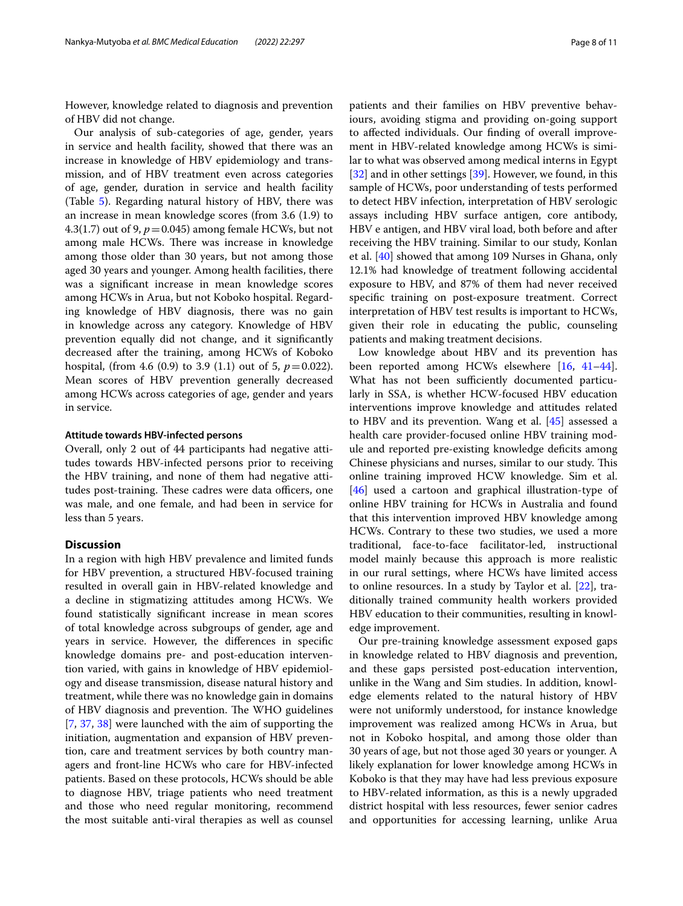However, knowledge related to diagnosis and prevention of HBV did not change.

Our analysis of sub-categories of age, gender, years in service and health facility, showed that there was an increase in knowledge of HBV epidemiology and transmission, and of HBV treatment even across categories of age, gender, duration in service and health facility (Table [5](#page-6-0)). Regarding natural history of HBV, there was an increase in mean knowledge scores (from 3.6 (1.9) to 4.3(1.7) out of 9,  $p = 0.045$ ) among female HCWs, but not among male HCWs. There was increase in knowledge among those older than 30 years, but not among those aged 30 years and younger. Among health facilities, there was a signifcant increase in mean knowledge scores among HCWs in Arua, but not Koboko hospital. Regarding knowledge of HBV diagnosis, there was no gain in knowledge across any category. Knowledge of HBV prevention equally did not change, and it signifcantly decreased after the training, among HCWs of Koboko hospital, (from 4.6 (0.9) to 3.9 (1.1) out of 5,  $p = 0.022$ ). Mean scores of HBV prevention generally decreased among HCWs across categories of age, gender and years in service.

### **Attitude towards HBV‑infected persons**

Overall, only 2 out of 44 participants had negative attitudes towards HBV-infected persons prior to receiving the HBV training, and none of them had negative attitudes post-training. These cadres were data officers, one was male, and one female, and had been in service for less than 5 years.

# **Discussion**

In a region with high HBV prevalence and limited funds for HBV prevention, a structured HBV-focused training resulted in overall gain in HBV-related knowledge and a decline in stigmatizing attitudes among HCWs. We found statistically signifcant increase in mean scores of total knowledge across subgroups of gender, age and years in service. However, the diferences in specifc knowledge domains pre- and post-education intervention varied, with gains in knowledge of HBV epidemiology and disease transmission, disease natural history and treatment, while there was no knowledge gain in domains of HBV diagnosis and prevention. The WHO guidelines [[7,](#page-9-4) [37,](#page-9-27) [38\]](#page-9-28) were launched with the aim of supporting the initiation, augmentation and expansion of HBV prevention, care and treatment services by both country managers and front-line HCWs who care for HBV-infected patients. Based on these protocols, HCWs should be able to diagnose HBV, triage patients who need treatment and those who need regular monitoring, recommend the most suitable anti-viral therapies as well as counsel patients and their families on HBV preventive behaviours, avoiding stigma and providing on-going support to afected individuals. Our fnding of overall improvement in HBV-related knowledge among HCWs is similar to what was observed among medical interns in Egypt [[32\]](#page-9-22) and in other settings [\[39](#page-9-29)]. However, we found, in this sample of HCWs, poor understanding of tests performed to detect HBV infection, interpretation of HBV serologic assays including HBV surface antigen, core antibody, HBV e antigen, and HBV viral load, both before and after receiving the HBV training. Similar to our study, Konlan et al. [\[40](#page-9-30)] showed that among 109 Nurses in Ghana, only 12.1% had knowledge of treatment following accidental exposure to HBV, and 87% of them had never received specifc training on post-exposure treatment. Correct interpretation of HBV test results is important to HCWs, given their role in educating the public, counseling patients and making treatment decisions.

Low knowledge about HBV and its prevention has been reported among HCWs elsewhere [\[16](#page-9-13), [41](#page-9-31)[–44](#page-10-0)]. What has not been sufficiently documented particularly in SSA, is whether HCW-focused HBV education interventions improve knowledge and attitudes related to HBV and its prevention. Wang et al. [\[45](#page-10-1)] assessed a health care provider-focused online HBV training module and reported pre-existing knowledge defcits among Chinese physicians and nurses, similar to our study. This online training improved HCW knowledge. Sim et al. [[46\]](#page-10-2) used a cartoon and graphical illustration-type of online HBV training for HCWs in Australia and found that this intervention improved HBV knowledge among HCWs. Contrary to these two studies, we used a more traditional, face-to-face facilitator-led, instructional model mainly because this approach is more realistic in our rural settings, where HCWs have limited access to online resources. In a study by Taylor et al. [[22\]](#page-9-19), traditionally trained community health workers provided HBV education to their communities, resulting in knowledge improvement.

Our pre-training knowledge assessment exposed gaps in knowledge related to HBV diagnosis and prevention, and these gaps persisted post-education intervention, unlike in the Wang and Sim studies. In addition, knowledge elements related to the natural history of HBV were not uniformly understood, for instance knowledge improvement was realized among HCWs in Arua, but not in Koboko hospital, and among those older than 30 years of age, but not those aged 30 years or younger. A likely explanation for lower knowledge among HCWs in Koboko is that they may have had less previous exposure to HBV-related information, as this is a newly upgraded district hospital with less resources, fewer senior cadres and opportunities for accessing learning, unlike Arua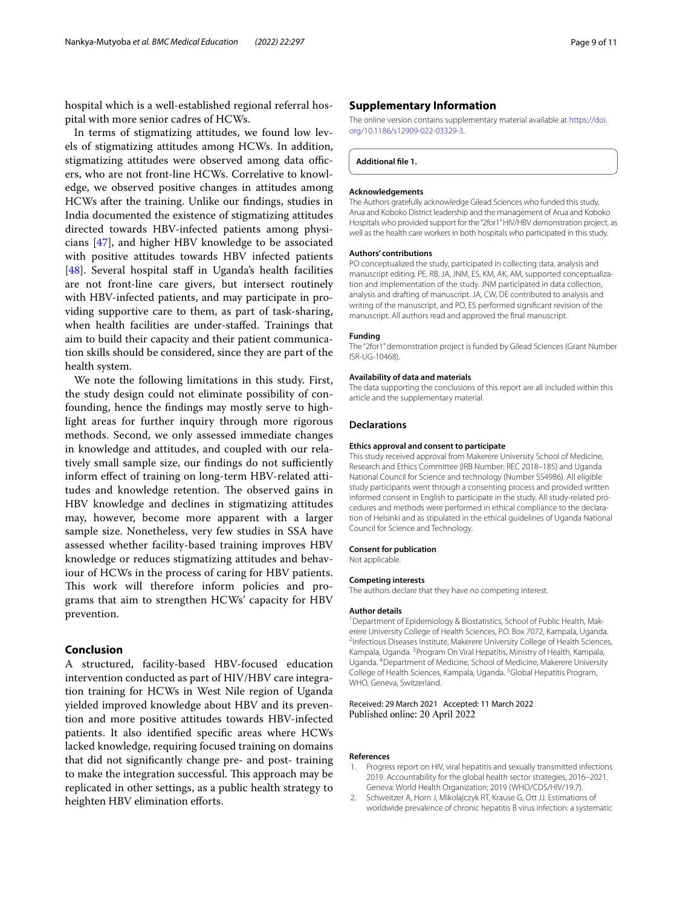hospital which is a well-established regional referral hospital with more senior cadres of HCWs.

In terms of stigmatizing attitudes, we found low levels of stigmatizing attitudes among HCWs. In addition, stigmatizing attitudes were observed among data officers, who are not front-line HCWs. Correlative to knowledge, we observed positive changes in attitudes among HCWs after the training. Unlike our fndings, studies in India documented the existence of stigmatizing attitudes directed towards HBV-infected patients among physicians [\[47](#page-10-3)], and higher HBV knowledge to be associated with positive attitudes towards HBV infected patients [[48\]](#page-10-4). Several hospital staff in Uganda's health facilities are not front-line care givers, but intersect routinely with HBV-infected patients, and may participate in providing supportive care to them, as part of task-sharing, when health facilities are under-stafed. Trainings that aim to build their capacity and their patient communication skills should be considered, since they are part of the health system.

We note the following limitations in this study. First, the study design could not eliminate possibility of confounding, hence the fndings may mostly serve to highlight areas for further inquiry through more rigorous methods. Second, we only assessed immediate changes in knowledge and attitudes, and coupled with our relatively small sample size, our findings do not sufficiently inform efect of training on long-term HBV-related attitudes and knowledge retention. The observed gains in HBV knowledge and declines in stigmatizing attitudes may, however, become more apparent with a larger sample size. Nonetheless, very few studies in SSA have assessed whether facility-based training improves HBV knowledge or reduces stigmatizing attitudes and behaviour of HCWs in the process of caring for HBV patients. This work will therefore inform policies and programs that aim to strengthen HCWs' capacity for HBV prevention.

### **Conclusion**

A structured, facility-based HBV-focused education intervention conducted as part of HIV/HBV care integration training for HCWs in West Nile region of Uganda yielded improved knowledge about HBV and its prevention and more positive attitudes towards HBV-infected patients. It also identifed specifc areas where HCWs lacked knowledge, requiring focused training on domains that did not signifcantly change pre- and post- training to make the integration successful. This approach may be replicated in other settings, as a public health strategy to heighten HBV elimination efforts.

## **Supplementary Information**

The online version contains supplementary material available at [https://doi.](https://doi.org/10.1186/s12909-022-03329-3) [org/10.1186/s12909-022-03329-3](https://doi.org/10.1186/s12909-022-03329-3).

**Additional fle 1.**

#### **Acknowledgements**

The Authors gratefully acknowledge Gilead Sciences who funded this study, Arua and Koboko District leadership and the management of Arua and Koboko Hospitals who provided support for the "2for1" HIV/HBV demonstration project, as well as the health care workers in both hospitals who participated in this study.

#### **Authors' contributions**

PO conceptualized the study, participated in collecting data, analysis and manuscript editing. PE, RB, JA, JNM, ES, KM, AK, AM, supported conceptualization and implementation of the study. JNM participated in data collection, analysis and drafting of manuscript. JA, CW, DE contributed to analysis and writing of the manuscript, and PO, ES performed signifcant revision of the manuscript. All authors read and approved the fnal manuscript.

#### **Funding**

The "2for1" demonstration project is funded by Gilead Sciences (Grant Number ISR-UG-10468).

#### **Availability of data and materials**

The data supporting the conclusions of this report are all included within this article and the supplementary material.

#### **Declarations**

#### **Ethics approval and consent to participate**

This study received approval from Makerere University School of Medicine, Research and Ethics Committee (IRB Number: REC 2018–185) and Uganda National Council for Science and technology (Number SS4986). All eligible study participants went through a consenting process and provided written informed consent in English to participate in the study. All study-related procedures and methods were performed in ethical compliance to the declaration of Helsinki and as stipulated in the ethical guidelines of Uganda National Council for Science and Technology.

#### **Consent for publication**

Not applicable.

#### **Competing interests**

The authors declare that they have no competing interest.

#### **Author details**

<sup>1</sup> Department of Epidemiology & Biostatistics, School of Public Health, Makerere University College of Health Sciences, P.O. Box 7072, Kampala, Uganda. 2 <sup>2</sup>Infectious Diseases Institute, Makerere University College of Health Sciences, Kampala, Uganda. <sup>3</sup> Program On Viral Hepatitis, Ministry of Health, Kampala, Uganda. 4 Department of Medicine, School of Medicine, Makerere University College of Health Sciences, Kampala, Uganda. <sup>5</sup>Global Hepatitis Program, WHO, Geneva, Switzerland.

Received: 29 March 2021 Accepted: 11 March 2022 Published online: 20 April 2022

#### **References**

- <span id="page-8-0"></span>1. Progress report on HIV, viral hepatitis and sexually transmitted infections 2019. Accountability for the global health sector strategies, 2016–2021. Geneva: World Health Organization; 2019 (WHO/CDS/HIV/19.7).
- <span id="page-8-1"></span>2. Schweitzer A, Horn J, Mikolajczyk RT, Krause G, Ott JJ. Estimations of worldwide prevalence of chronic hepatitis B virus infection: a systematic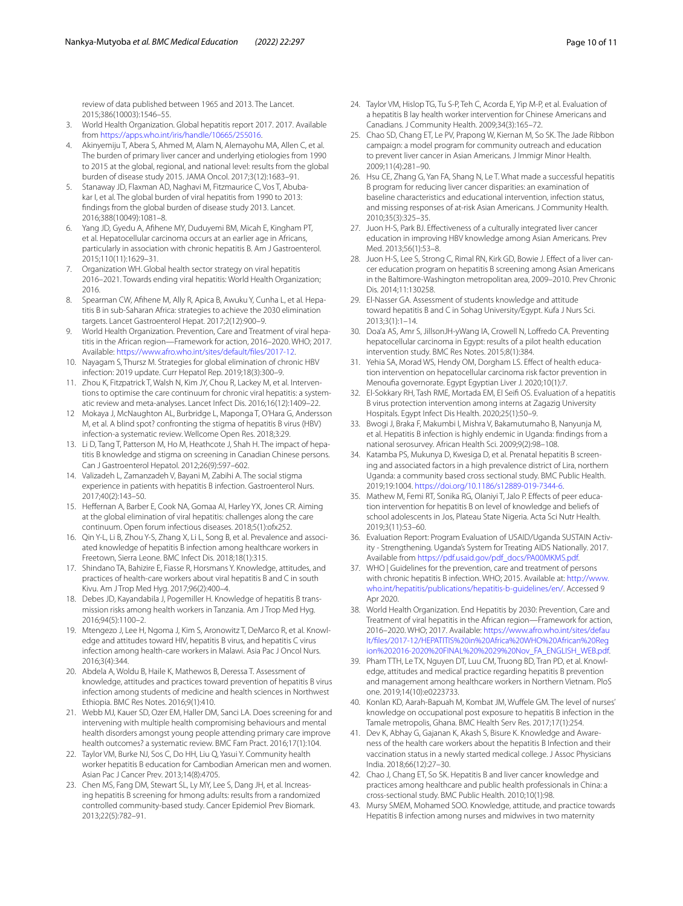review of data published between 1965 and 2013. The Lancet. 2015;386(10003):1546–55.

- <span id="page-9-0"></span>3. World Health Organization. Global hepatitis report 2017. 2017. Available from [https://apps.who.int/iris/handle/10665/255016.](https://apps.who.int/iris/handle/10665/255016)
- <span id="page-9-1"></span>4. Akinyemiju T, Abera S, Ahmed M, Alam N, Alemayohu MA, Allen C, et al. The burden of primary liver cancer and underlying etiologies from 1990 to 2015 at the global, regional, and national level: results from the global burden of disease study 2015. JAMA Oncol. 2017;3(12):1683–91.
- <span id="page-9-2"></span>Stanaway JD, Flaxman AD, Naghavi M, Fitzmaurice C, Vos T, Abubakar I, et al. The global burden of viral hepatitis from 1990 to 2013: fndings from the global burden of disease study 2013. Lancet. 2016;388(10049):1081–8.
- <span id="page-9-3"></span>6. Yang JD, Gyedu A, Afhene MY, Duduyemi BM, Micah E, Kingham PT, et al. Hepatocellular carcinoma occurs at an earlier age in Africans, particularly in association with chronic hepatitis B. Am J Gastroenterol. 2015;110(11):1629–31.
- <span id="page-9-4"></span>7. Organization WH. Global health sector strategy on viral hepatitis 2016–2021. Towards ending viral hepatitis: World Health Organization; 2016.
- <span id="page-9-5"></span>8. Spearman CW, Afihene M, Ally R, Apica B, Awuku Y, Cunha L, et al. Hepatitis B in sub-Saharan Africa: strategies to achieve the 2030 elimination targets. Lancet Gastroenterol Hepat. 2017;2(12):900–9.
- <span id="page-9-6"></span>World Health Organization. Prevention, Care and Treatment of viral hepatitis in the African region—Framework for action, 2016–2020. WHO; 2017. Available: [https://www.afro.who.int/sites/default/fles/2017-12.](https://www.afro.who.int/sites/default/files/2017-12)
- <span id="page-9-7"></span>10. Nayagam S, Thursz M. Strategies for global elimination of chronic HBV infection: 2019 update. Curr Hepatol Rep. 2019;18(3):300–9.
- <span id="page-9-8"></span>11. Zhou K, Fitzpatrick T, Walsh N, Kim JY, Chou R, Lackey M, et al. Interventions to optimise the care continuum for chronic viral hepatitis: a systematic review and meta-analyses. Lancet Infect Dis. 2016;16(12):1409–22.
- <span id="page-9-9"></span>12 Mokaya J, McNaughton AL, Burbridge L, Maponga T, O'Hara G, Andersson M, et al. A blind spot? confronting the stigma of hepatitis B virus (HBV) infection-a systematic review. Wellcome Open Res. 2018;3:29.
- <span id="page-9-10"></span>13. Li D, Tang T, Patterson M, Ho M, Heathcote J, Shah H, The impact of hepatitis B knowledge and stigma on screening in Canadian Chinese persons. Can J Gastroenterol Hepatol. 2012;26(9):597–602.
- <span id="page-9-11"></span>14. Valizadeh L, Zamanzadeh V, Bayani M, Zabihi A. The social stigma experience in patients with hepatitis B infection. Gastroenterol Nurs. 2017;40(2):143–50.
- <span id="page-9-12"></span>15. Hefernan A, Barber E, Cook NA, Gomaa AI, Harley YX, Jones CR. Aiming at the global elimination of viral hepatitis: challenges along the care continuum. Open forum infectious diseases. 2018;5(1):ofx252.
- <span id="page-9-13"></span>16. Qin Y-L, Li B, Zhou Y-S, Zhang X, Li L, Song B, et al. Prevalence and associated knowledge of hepatitis B infection among healthcare workers in Freetown, Sierra Leone. BMC Infect Dis. 2018;18(1):315.
- <span id="page-9-14"></span>17. Shindano TA, Bahizire E, Fiasse R, Horsmans Y. Knowledge, attitudes, and practices of health-care workers about viral hepatitis B and C in south Kivu. Am J Trop Med Hyg. 2017;96(2):400–4.
- <span id="page-9-15"></span>18. Debes JD, Kayandabila J, Pogemiller H. Knowledge of hepatitis B transmission risks among health workers in Tanzania. Am J Trop Med Hyg. 2016;94(5):1100–2.
- <span id="page-9-16"></span>19. Mtengezo J, Lee H, Ngoma J, Kim S, Aronowitz T, DeMarco R, et al. Knowledge and attitudes toward HIV, hepatitis B virus, and hepatitis C virus infection among health-care workers in Malawi. Asia Pac J Oncol Nurs. 2016;3(4):344.
- <span id="page-9-17"></span>20. Abdela A, Woldu B, Haile K, Mathewos B, Deressa T. Assessment of knowledge, attitudes and practices toward prevention of hepatitis B virus infection among students of medicine and health sciences in Northwest Ethiopia. BMC Res Notes. 2016;9(1):410.
- <span id="page-9-18"></span>21. Webb MJ, Kauer SD, Ozer EM, Haller DM, Sanci LA. Does screening for and intervening with multiple health compromising behaviours and mental health disorders amongst young people attending primary care improve health outcomes? a systematic review. BMC Fam Pract. 2016;17(1):104.
- <span id="page-9-19"></span>22. Taylor VM, Burke NJ, Sos C, Do HH, Liu Q, Yasui Y. Community health worker hepatitis B education for Cambodian American men and women. Asian Pac J Cancer Prev. 2013;14(8):4705.
- 23. Chen MS, Fang DM, Stewart SL, Ly MY, Lee S, Dang JH, et al. Increasing hepatitis B screening for hmong adults: results from a randomized controlled community-based study. Cancer Epidemiol Prev Biomark. 2013;22(5):782–91.
- 24. Taylor VM, Hislop TG, Tu S-P, Teh C, Acorda E, Yip M-P, et al. Evaluation of a hepatitis B lay health worker intervention for Chinese Americans and Canadians. J Community Health. 2009;34(3):165–72.
- 25. Chao SD, Chang ET, Le PV, Prapong W, Kiernan M, So SK. The Jade Ribbon campaign: a model program for community outreach and education to prevent liver cancer in Asian Americans. J Immigr Minor Health. 2009;11(4):281–90.
- 26. Hsu CE, Zhang G, Yan FA, Shang N, Le T. What made a successful hepatitis B program for reducing liver cancer disparities: an examination of baseline characteristics and educational intervention, infection status, and missing responses of at-risk Asian Americans. J Community Health. 2010;35(3):325–35.
- 27. Juon H-S, Park BJ. Efectiveness of a culturally integrated liver cancer education in improving HBV knowledge among Asian Americans. Prev Med. 2013;56(1):53–8.
- <span id="page-9-20"></span>28. Juon H-S, Lee S, Strong C, Rimal RN, Kirk GD, Bowie J. Effect of a liver cancer education program on hepatitis B screening among Asian Americans in the Baltimore-Washington metropolitan area, 2009–2010. Prev Chronic Dis. 2014;11:130258.
- <span id="page-9-21"></span>29. El-Nasser GA. Assessment of students knowledge and attitude toward hepatitis B and C in Sohag University/Egypt. Kufa J Nurs Sci. 2013;3(1):1–14.
- 30. Doa'a AS, Amr S, JillsonJH-yWang IA, Crowell N, Lofredo CA. Preventing hepatocellular carcinoma in Egypt: results of a pilot health education intervention study. BMC Res Notes. 2015;8(1):384.
- 31. Yehia SA, Morad WS, Hendy OM, Dorgham LS. Effect of health education intervention on hepatocellular carcinoma risk factor prevention in Menoufa governorate. Egypt Egyptian Liver J. 2020;10(1):7.
- <span id="page-9-22"></span>32. El-Sokkary RH, Tash RME, Mortada EM, El Seif OS. Evaluation of a hepatitis B virus protection intervention among interns at Zagazig University Hospitals. Egypt Infect Dis Health. 2020;25(1):50–9.
- <span id="page-9-23"></span>33. Bwogi J, Braka F, Makumbi I, Mishra V, Bakamutumaho B, Nanyunja M, et al. Hepatitis B infection is highly endemic in Uganda: fndings from a national serosurvey. African Health Sci. 2009;9(2):98–108.
- <span id="page-9-24"></span>34. Katamba PS, Mukunya D, Kwesiga D, et al. Prenatal hepatitis B screening and associated factors in a high prevalence district of Lira, northern Uganda: a community based cross sectional study. BMC Public Health. 2019;19:1004. [https://doi.org/10.1186/s12889-019-7344-6.](https://doi.org/10.1186/s12889-019-7344-6)
- <span id="page-9-25"></span>35. Mathew M, Femi RT, Sonika RG, Olaniyi T, Jalo P. Effects of peer education intervention for hepatitis B on level of knowledge and beliefs of school adolescents in Jos, Plateau State Nigeria. Acta Sci Nutr Health. 2019;3(11):53–60.
- <span id="page-9-26"></span>36. Evaluation Report: Program Evaluation of USAID/Uganda SUSTAIN Activity - Strengthening. Uganda's System for Treating AIDS Nationally. 2017. Available from [https://pdf.usaid.gov/pdf\\_docs/PA00MKMS.pdf](https://pdf.usaid.gov/pdf_docs/PA00MKMS.pdf).
- <span id="page-9-27"></span>37. WHO | Guidelines for the prevention, care and treatment of persons with chronic hepatitis B infection. WHO; 2015. Available at: [http://www.](http://www.who.int/hepatitis/publications/hepatitis-b-guidelines/en/) [who.int/hepatitis/publications/hepatitis-b-guidelines/en/](http://www.who.int/hepatitis/publications/hepatitis-b-guidelines/en/). Accessed 9 Apr 2020
- <span id="page-9-28"></span>38. World Health Organization. End Hepatitis by 2030: Prevention, Care and Treatment of viral hepatitis in the African region—Framework for action, 2016–2020. WHO; 2017. Available: [https://www.afro.who.int/sites/defau](https://www.afro.who.int/sites/default/files/2017-12/HEPATITIS%20in%20Africa%20WHO%20African%20Region%202016-2020%20FINAL%20%2029%20Nov_FA_ENGLISH_WEB.pdf) [lt/fles/2017-12/HEPATITIS%20in%20Africa%20WHO%20African%20Reg](https://www.afro.who.int/sites/default/files/2017-12/HEPATITIS%20in%20Africa%20WHO%20African%20Region%202016-2020%20FINAL%20%2029%20Nov_FA_ENGLISH_WEB.pdf) [ion%202016-2020%20FINAL%20%2029%20Nov\\_FA\\_ENGLISH\\_WEB.pdf](https://www.afro.who.int/sites/default/files/2017-12/HEPATITIS%20in%20Africa%20WHO%20African%20Region%202016-2020%20FINAL%20%2029%20Nov_FA_ENGLISH_WEB.pdf).
- <span id="page-9-29"></span>39. Pham TTH, Le TX, Nguyen DT, Luu CM, Truong BD, Tran PD, et al. Knowledge, attitudes and medical practice regarding hepatitis B prevention and management among healthcare workers in Northern Vietnam. PloS one. 2019;14(10):e0223733.
- <span id="page-9-30"></span>40. Konlan KD, Aarah-Bapuah M, Kombat JM, Wufele GM. The level of nurses' knowledge on occupational post exposure to hepatitis B infection in the Tamale metropolis, Ghana. BMC Health Serv Res. 2017;17(1):254.
- <span id="page-9-31"></span>41. Dev K, Abhay G, Gajanan K, Akash S, Bisure K. Knowledge and Awareness of the health care workers about the hepatitis B Infection and their vaccination status in a newly started medical college. J Assoc Physicians India. 2018;66(12):27–30.
- 42. Chao J, Chang ET, So SK. Hepatitis B and liver cancer knowledge and practices among healthcare and public health professionals in China: a cross-sectional study. BMC Public Health. 2010;10(1):98.
- 43. Mursy SMEM, Mohamed SOO. Knowledge, attitude, and practice towards Hepatitis B infection among nurses and midwives in two maternity